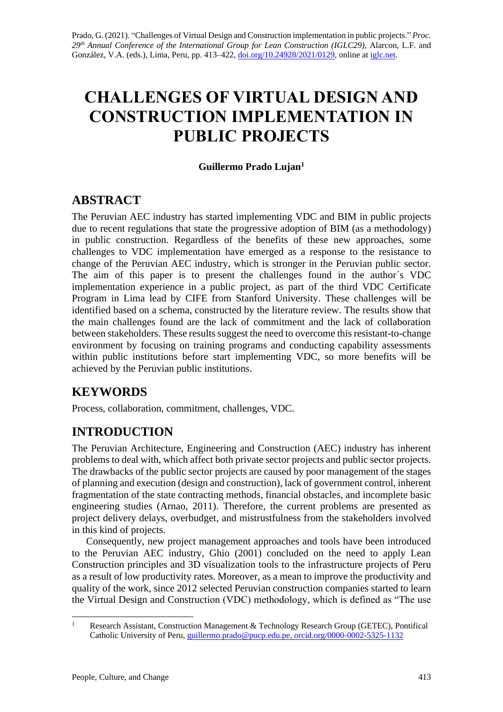# **CHALLENGES OF VIRTUAL DESIGN AND CONSTRUCTION IMPLEMENTATION IN PUBLIC PROJECTS**

### **Guillermo Prado Lujan<sup>1</sup>**

# **ABSTRACT**

The Peruvian AEC industry has started implementing VDC and BIM in public projects due to recent regulations that state the progressive adoption of BIM (as a methodology) in public construction. Regardless of the benefits of these new approaches, some challenges to VDC implementation have emerged as a response to the resistance to change of the Peruvian AEC industry, which is stronger in the Peruvian public sector. The aim of this paper is to present the challenges found in the author´s VDC implementation experience in a public project, as part of the third VDC Certificate Program in Lima lead by CIFE from Stanford University. These challenges will be identified based on a schema, constructed by the literature review. The results show that the main challenges found are the lack of commitment and the lack of collaboration between stakeholders. These results suggest the need to overcome this resistant-to-change environment by focusing on training programs and conducting capability assessments within public institutions before start implementing VDC, so more benefits will be achieved by the Peruvian public institutions.

# **KEYWORDS**

Process, collaboration, commitment, challenges, VDC.

# **INTRODUCTION**

The Peruvian Architecture, Engineering and Construction (AEC) industry has inherent problems to deal with, which affect both private sector projects and public sector projects. The drawbacks of the public sector projects are caused by poor management of the stages of planning and execution (design and construction), lack of government control, inherent fragmentation of the state contracting methods, financial obstacles, and incomplete basic engineering studies (Arnao, 2011). Therefore, the current problems are presented as project delivery delays, overbudget, and mistrustfulness from the stakeholders involved in this kind of projects.

Consequently, new project management approaches and tools have been introduced to the Peruvian AEC industry, Ghio (2001) concluded on the need to apply Lean Construction principles and 3D visualization tools to the infrastructure projects of Peru as a result of low productivity rates. Moreover, as a mean to improve the productivity and quality of the work, since 2012 selected Peruvian construction companies started to learn the Virtual Design and Construction (VDC) methodology, which is defined as "The use

<sup>&</sup>lt;sup>1</sup> Research Assistant, Construction Management & Technology Research Group (GETEC), Pontifical Catholic University of Peru[, guillermo.prado@pucp.edu.pe,](mailto:guillermo.prado@pucp.edu.pe) [orcid.org/0000-0002-5325-1132](https://orcid.org/0000-0002-5325-1132)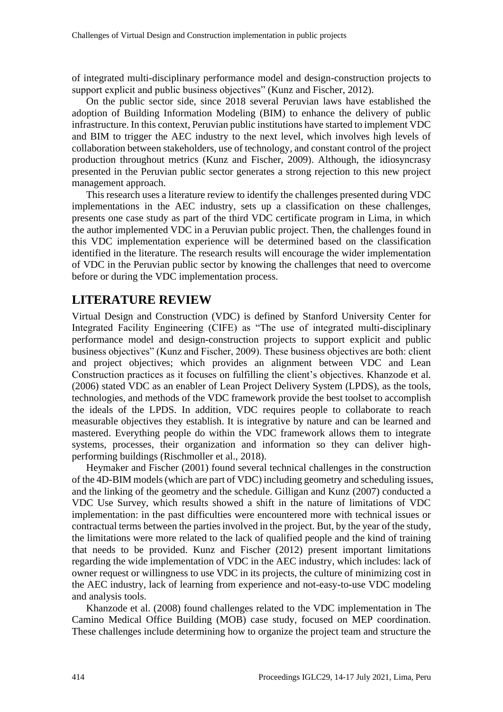of integrated multi-disciplinary performance model and design-construction projects to support explicit and public business objectives" (Kunz and Fischer, 2012).

On the public sector side, since 2018 several Peruvian laws have established the adoption of Building Information Modeling (BIM) to enhance the delivery of public infrastructure. In this context, Peruvian public institutions have started to implement VDC and BIM to trigger the AEC industry to the next level, which involves high levels of collaboration between stakeholders, use of technology, and constant control of the project production throughout metrics (Kunz and Fischer, 2009). Although, the idiosyncrasy presented in the Peruvian public sector generates a strong rejection to this new project management approach.

This research uses a literature review to identify the challenges presented during VDC implementations in the AEC industry, sets up a classification on these challenges, presents one case study as part of the third VDC certificate program in Lima, in which the author implemented VDC in a Peruvian public project. Then, the challenges found in this VDC implementation experience will be determined based on the classification identified in the literature. The research results will encourage the wider implementation of VDC in the Peruvian public sector by knowing the challenges that need to overcome before or during the VDC implementation process.

### **LITERATURE REVIEW**

Virtual Design and Construction (VDC) is defined by Stanford University Center for Integrated Facility Engineering (CIFE) as "The use of integrated multi-disciplinary performance model and design-construction projects to support explicit and public business objectives" (Kunz and Fischer, 2009). These business objectives are both: client and project objectives; which provides an alignment between VDC and Lean Construction practices as it focuses on fulfilling the client's objectives. Khanzode et al. (2006) stated VDC as an enabler of Lean Project Delivery System (LPDS), as the tools, technologies, and methods of the VDC framework provide the best toolset to accomplish the ideals of the LPDS. In addition, VDC requires people to collaborate to reach measurable objectives they establish. It is integrative by nature and can be learned and mastered. Everything people do within the VDC framework allows them to integrate systems, processes, their organization and information so they can deliver highperforming buildings (Rischmoller et al., 2018).

Heymaker and Fischer (2001) found several technical challenges in the construction of the 4D-BIM models (which are part of VDC) including geometry and scheduling issues, and the linking of the geometry and the schedule. Gilligan and Kunz (2007) conducted a VDC Use Survey, which results showed a shift in the nature of limitations of VDC implementation: in the past difficulties were encountered more with technical issues or contractual terms between the parties involved in the project. But, by the year of the study, the limitations were more related to the lack of qualified people and the kind of training that needs to be provided. Kunz and Fischer (2012) present important limitations regarding the wide implementation of VDC in the AEC industry, which includes: lack of owner request or willingness to use VDC in its projects, the culture of minimizing cost in the AEC industry, lack of learning from experience and not-easy-to-use VDC modeling and analysis tools.

Khanzode et al. (2008) found challenges related to the VDC implementation in The Camino Medical Office Building (MOB) case study, focused on MEP coordination. These challenges include determining how to organize the project team and structure the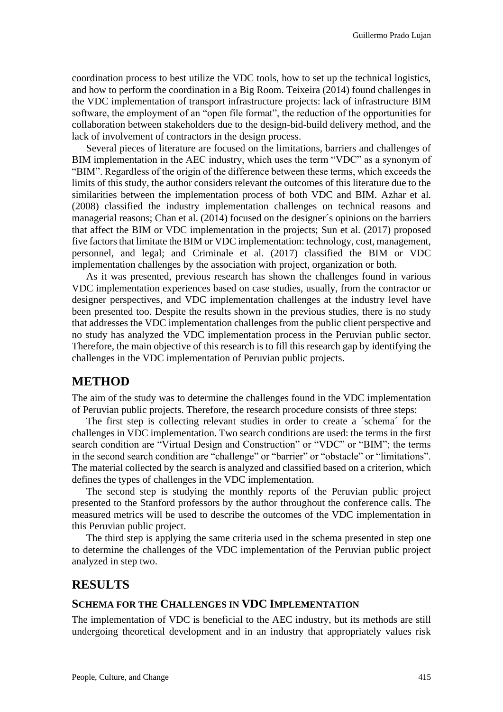coordination process to best utilize the VDC tools, how to set up the technical logistics, and how to perform the coordination in a Big Room. Teixeira (2014) found challenges in the VDC implementation of transport infrastructure projects: lack of infrastructure BIM software, the employment of an "open file format", the reduction of the opportunities for collaboration between stakeholders due to the design-bid-build delivery method, and the lack of involvement of contractors in the design process.

Several pieces of literature are focused on the limitations, barriers and challenges of BIM implementation in the AEC industry, which uses the term "VDC" as a synonym of "BIM". Regardless of the origin of the difference between these terms, which exceeds the limits of this study, the author considers relevant the outcomes of this literature due to the similarities between the implementation process of both VDC and BIM. Azhar et al. (2008) classified the industry implementation challenges on technical reasons and managerial reasons; Chan et al. (2014) focused on the designer´s opinions on the barriers that affect the BIM or VDC implementation in the projects; Sun et al. (2017) proposed five factors that limitate the BIM or VDC implementation: technology, cost, management, personnel, and legal; and Criminale et al. (2017) classified the BIM or VDC implementation challenges by the association with project, organization or both.

As it was presented, previous research has shown the challenges found in various VDC implementation experiences based on case studies, usually, from the contractor or designer perspectives, and VDC implementation challenges at the industry level have been presented too. Despite the results shown in the previous studies, there is no study that addresses the VDC implementation challenges from the public client perspective and no study has analyzed the VDC implementation process in the Peruvian public sector. Therefore, the main objective of this research is to fill this research gap by identifying the challenges in the VDC implementation of Peruvian public projects.

### **METHOD**

The aim of the study was to determine the challenges found in the VDC implementation of Peruvian public projects. Therefore, the research procedure consists of three steps:

The first step is collecting relevant studies in order to create a ´schema´ for the challenges in VDC implementation. Two search conditions are used: the terms in the first search condition are "Virtual Design and Construction" or "VDC" or "BIM"; the terms in the second search condition are "challenge" or "barrier" or "obstacle" or "limitations". The material collected by the search is analyzed and classified based on a criterion, which defines the types of challenges in the VDC implementation.

The second step is studying the monthly reports of the Peruvian public project presented to the Stanford professors by the author throughout the conference calls. The measured metrics will be used to describe the outcomes of the VDC implementation in this Peruvian public project.

The third step is applying the same criteria used in the schema presented in step one to determine the challenges of the VDC implementation of the Peruvian public project analyzed in step two.

### **RESULTS**

#### **SCHEMA FOR THE CHALLENGES IN VDC IMPLEMENTATION**

The implementation of VDC is beneficial to the AEC industry, but its methods are still undergoing theoretical development and in an industry that appropriately values risk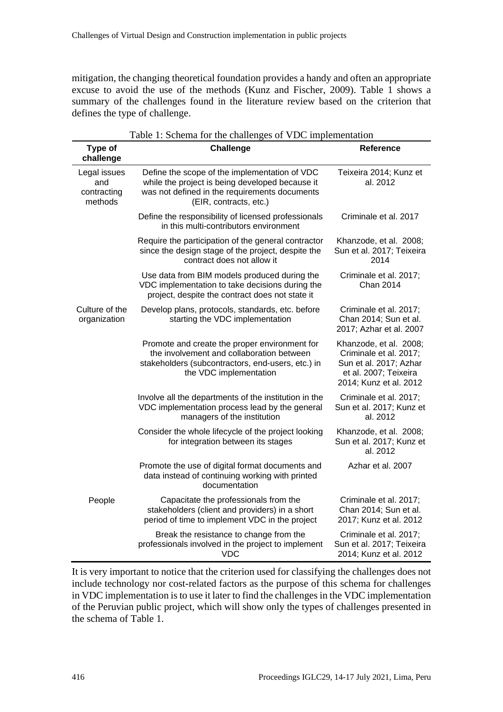mitigation, the changing theoretical foundation provides a handy and often an appropriate excuse to avoid the use of the methods (Kunz and Fischer, 2009). Table 1 shows a summary of the challenges found in the literature review based on the criterion that defines the type of challenge.

| Type of<br>challenge                          | <b>Challenge</b>                                                                                                                                                            | Reference                                                                                                                     |  |  |  |  |  |
|-----------------------------------------------|-----------------------------------------------------------------------------------------------------------------------------------------------------------------------------|-------------------------------------------------------------------------------------------------------------------------------|--|--|--|--|--|
| Legal issues<br>and<br>contracting<br>methods | Define the scope of the implementation of VDC<br>while the project is being developed because it<br>was not defined in the requirements documents<br>(EIR, contracts, etc.) | Teixeira 2014; Kunz et<br>al. 2012                                                                                            |  |  |  |  |  |
|                                               | Define the responsibility of licensed professionals<br>in this multi-contributors environment                                                                               | Criminale et al. 2017                                                                                                         |  |  |  |  |  |
|                                               | Require the participation of the general contractor<br>since the design stage of the project, despite the<br>contract does not allow it                                     | Khanzode, et al. 2008;<br>Sun et al. 2017; Teixeira<br>2014                                                                   |  |  |  |  |  |
|                                               | Use data from BIM models produced during the<br>VDC implementation to take decisions during the<br>project, despite the contract does not state it                          | Criminale et al. 2017;<br>Chan 2014                                                                                           |  |  |  |  |  |
| Culture of the<br>organization                | Develop plans, protocols, standards, etc. before<br>starting the VDC implementation                                                                                         | Criminale et al. 2017;<br>Chan 2014; Sun et al.<br>2017; Azhar et al. 2007                                                    |  |  |  |  |  |
|                                               | Promote and create the proper environment for<br>the involvement and collaboration between<br>stakeholders (subcontractors, end-users, etc.) in<br>the VDC implementation   | Khanzode, et al. 2008;<br>Criminale et al. 2017;<br>Sun et al. 2017; Azhar<br>et al. 2007; Teixeira<br>2014; Kunz et al. 2012 |  |  |  |  |  |
|                                               | Involve all the departments of the institution in the<br>VDC implementation process lead by the general<br>managers of the institution                                      | Criminale et al. 2017;<br>Sun et al. 2017; Kunz et<br>al. 2012                                                                |  |  |  |  |  |
|                                               | Consider the whole lifecycle of the project looking<br>for integration between its stages                                                                                   | Khanzode, et al. 2008;<br>Sun et al. 2017; Kunz et<br>al. 2012                                                                |  |  |  |  |  |
|                                               | Promote the use of digital format documents and<br>data instead of continuing working with printed<br>documentation                                                         | Azhar et al. 2007                                                                                                             |  |  |  |  |  |
| People                                        | Capacitate the professionals from the<br>stakeholders (client and providers) in a short<br>period of time to implement VDC in the project                                   | Criminale et al. 2017;<br>Chan 2014; Sun et al.<br>2017; Kunz et al. 2012                                                     |  |  |  |  |  |
|                                               | Break the resistance to change from the<br>professionals involved in the project to implement<br><b>VDC</b>                                                                 | Criminale et al. 2017;<br>Sun et al. 2017; Teixeira<br>2014; Kunz et al. 2012                                                 |  |  |  |  |  |

Table 1: Schema for the challenges of VDC implementation

It is very important to notice that the criterion used for classifying the challenges does not include technology nor cost-related factors as the purpose of this schema for challenges in VDC implementation is to use it later to find the challenges in the VDC implementation of the Peruvian public project, which will show only the types of challenges presented in the schema of Table 1.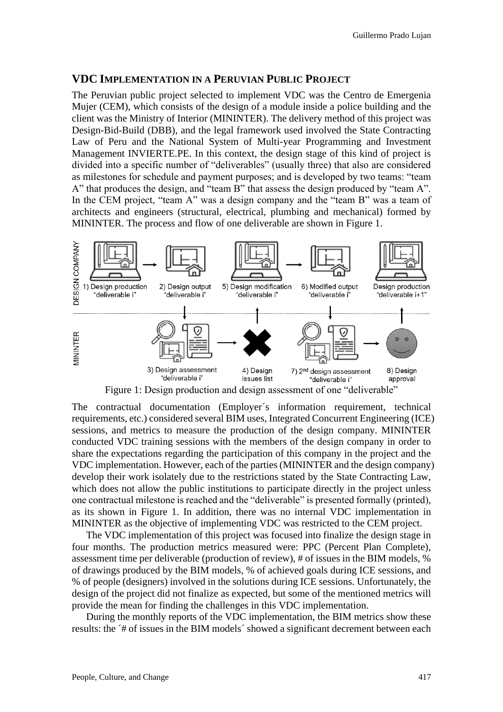#### **VDC IMPLEMENTATION IN A PERUVIAN PUBLIC PROJECT**

The Peruvian public project selected to implement VDC was the Centro de Emergenia Mujer (CEM), which consists of the design of a module inside a police building and the client was the Ministry of Interior (MININTER). The delivery method of this project was Design-Bid-Build (DBB), and the legal framework used involved the State Contracting Law of Peru and the National System of Multi-year Programming and Investment Management INVIERTE.PE. In this context, the design stage of this kind of project is divided into a specific number of "deliverables" (usually three) that also are considered as milestones for schedule and payment purposes; and is developed by two teams: "team A" that produces the design, and "team B" that assess the design produced by "team A". In the CEM project, "team A" was a design company and the "team B" was a team of architects and engineers (structural, electrical, plumbing and mechanical) formed by MININTER. The process and flow of one deliverable are shown in Figure 1.



Figure 1: Design production and design assessment of one "deliverable"

The contractual documentation (Employer´s information requirement, technical requirements, etc.) considered several BIM uses, Integrated Concurrent Engineering (ICE) sessions, and metrics to measure the production of the design company. MININTER conducted VDC training sessions with the members of the design company in order to share the expectations regarding the participation of this company in the project and the VDC implementation. However, each of the parties (MININTER and the design company) develop their work isolately due to the restrictions stated by the State Contracting Law, which does not allow the public institutions to participate directly in the project unless one contractual milestone is reached and the "deliverable" is presented formally (printed), as its shown in Figure 1. In addition, there was no internal VDC implementation in MININTER as the objective of implementing VDC was restricted to the CEM project.

The VDC implementation of this project was focused into finalize the design stage in four months. The production metrics measured were: PPC (Percent Plan Complete), assessment time per deliverable (production of review), # of issues in the BIM models, % of drawings produced by the BIM models, % of achieved goals during ICE sessions, and % of people (designers) involved in the solutions during ICE sessions. Unfortunately, the design of the project did not finalize as expected, but some of the mentioned metrics will provide the mean for finding the challenges in this VDC implementation.

During the monthly reports of the VDC implementation, the BIM metrics show these results: the ´# of issues in the BIM models´ showed a significant decrement between each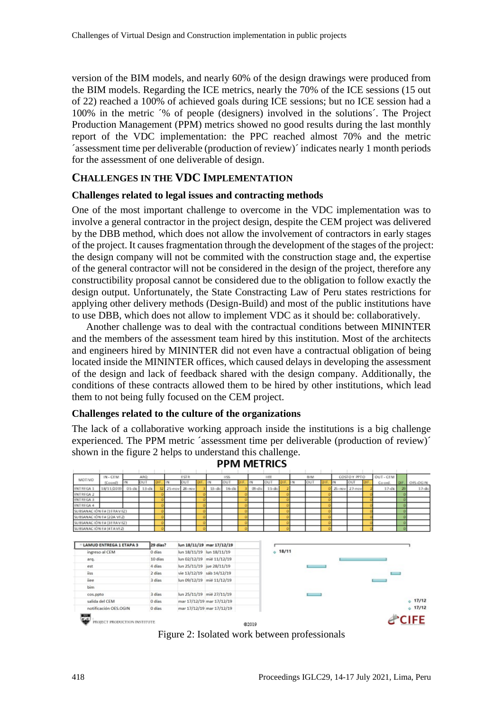version of the BIM models, and nearly 60% of the design drawings were produced from the BIM models. Regarding the ICE metrics, nearly the 70% of the ICE sessions (15 out of 22) reached a 100% of achieved goals during ICE sessions; but no ICE session had a 100% in the metric ´% of people (designers) involved in the solutions´. The Project Production Management (PPM) metrics showed no good results during the last monthly report of the VDC implementation: the PPC reached almost 70% and the metric ´assessment time per deliverable (production of review)´ indicates nearly 1 month periods for the assessment of one deliverable of design.

#### **CHALLENGES IN THE VDC IMPLEMENTATION**

#### **Challenges related to legal issues and contracting methods**

One of the most important challenge to overcome in the VDC implementation was to involve a general contractor in the project design, despite the CEM project was delivered by the DBB method, which does not allow the involvement of contractors in early stages of the project. It causes fragmentation through the development of the stages of the project: the design company will not be commited with the construction stage and, the expertise of the general contractor will not be considered in the design of the project, therefore any constructibility proposal cannot be considered due to the obligation to follow exactly the design output. Unfortunately, the State Constracting Law of Peru states restrictions for applying other delivery methods (Design-Build) and most of the public institutions have to use DBB, which does not allow to implement VDC as it should be: collaboratively.

Another challenge was to deal with the contractual conditions between MININTER and the members of the assessment team hired by this institution. Most of the architects and engineers hired by MININTER did not even have a contractual obligation of being located inside the MININTER offices, which caused delays in developing the assessment of the design and lack of feedback shared with the design company. Additionally, the conditions of these contracts allowed them to be hired by other institutions, which lead them to not being fully focused on the CEM project.

#### **Challenges related to the culture of the organizations**

The lack of a collaborative working approach inside the institutions is a big challenge experienced. The PPM metric ´assessment time per deliverable (production of review)´ shown in the figure 2 helps to understand this challenge.

| PPIVI IVIE I KIUS                                           |                                                        |           |           |                                                 |                           |                                                                                                                                               |  |                           |             |  |                |             |      |            |     |   |               |           |     |           |    |                          |
|-------------------------------------------------------------|--------------------------------------------------------|-----------|-----------|-------------------------------------------------|---------------------------|-----------------------------------------------------------------------------------------------------------------------------------------------|--|---------------------------|-------------|--|----------------|-------------|------|------------|-----|---|---------------|-----------|-----|-----------|----|--------------------------|
|                                                             | $IN - CEM$                                             |           | ARQ-      |                                                 |                           | ESTR                                                                                                                                          |  |                           | <b>IISS</b> |  |                | <b>IIEE</b> |      | <b>BIM</b> |     |   | COSTO Y PPTO  |           |     | OUT - CEM |    |                          |
| MOTIVO                                                      | (Coord)                                                | IN        | QUT       | DH                                              | M                         | OUT                                                                                                                                           |  | N                         | OUT         |  | IN             | OUT         | DIF. | <b>IN</b>  | OUT | D | IN            | OUT       | DIF | Co ord.   | œ  | OES-OGIN                 |
| ENTREGA 1                                                   | 18/11/2019                                             | $01 - dE$ | $13 - 4x$ | 12                                              |                           | 25-nov 28-nov                                                                                                                                 |  | $13 - 46c$                | $16 -$ dic  |  | $09$ -dic      | $11 - 4c$   |      |            |     |   | 25-nov 27-nov |           |     | $17 - 4x$ | 29 | $17 - 6c$                |
| ENTREGA 2                                                   |                                                        |           |           |                                                 |                           |                                                                                                                                               |  |                           |             |  |                |             |      |            |     |   |               |           |     |           |    |                          |
| ENTREGA 3                                                   |                                                        |           |           |                                                 |                           |                                                                                                                                               |  |                           |             |  |                |             |      |            |     |   |               |           |     |           |    |                          |
| ENTREGA 4                                                   |                                                        |           |           |                                                 |                           |                                                                                                                                               |  |                           |             |  |                |             |      |            |     |   |               |           |     |           |    |                          |
| SUBSANACIÓN E# (1ERAVEZ)                                    |                                                        |           |           |                                                 |                           |                                                                                                                                               |  |                           |             |  |                |             |      |            |     |   |               |           |     |           |    |                          |
| SUBSANACIÓN E# (20A VEZ)                                    |                                                        |           |           |                                                 |                           |                                                                                                                                               |  |                           |             |  |                |             |      |            |     |   |               |           |     |           |    |                          |
| SUBSANACIÓN E# (3ERAVEZ)                                    |                                                        |           |           |                                                 |                           |                                                                                                                                               |  |                           |             |  |                |             |      |            |     |   |               |           |     |           |    |                          |
| SUBSANACIÓN E# (4TAVEZ)                                     |                                                        |           |           |                                                 |                           |                                                                                                                                               |  |                           |             |  |                |             |      |            |     |   |               |           |     |           |    |                          |
| ingreso al CEM<br>arq.<br>est<br>iiss<br>iiee<br><b>bim</b> |                                                        |           |           | 0 dias<br>10 días<br>4 dias<br>2 días<br>3 dias |                           | lun 18/11/19 lun 18/11/19<br>lun 02/12/19 mié 11/12/19<br>lun 25/11/19 jue 28/11/19<br>vie 13/12/19 sáb 14/12/19<br>lun 09/12/19 mié 11/12/19 |  |                           |             |  | $+ 18/11$<br>_ |             |      |            |     |   |               |           |     |           |    |                          |
| cos.ppto<br>salida del CEM                                  |                                                        |           |           | 3 dias<br>0 dias                                | lun 25/11/19 mié 27/11/19 |                                                                                                                                               |  | mar 17/12/19 mar 17/12/19 |             |  |                |             |      |            |     |   |               | $+ 17/12$ |     |           |    |                          |
| 221<br>الغراه                                               | notificación OES.OGIN<br>PROJECT PRODUCTION INSTITUTE. |           |           | 0 dias                                          |                           |                                                                                                                                               |  | mar 17/12/19 mar 17/12/19 |             |  | @2019          |             |      |            |     |   |               |           |     |           |    | $+ 17/12$<br><b>CIFE</b> |

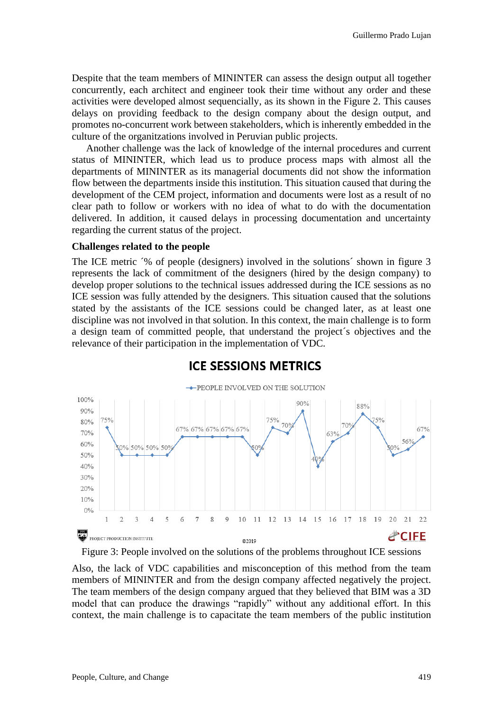Despite that the team members of MININTER can assess the design output all together concurrently, each architect and engineer took their time without any order and these activities were developed almost sequencially, as its shown in the Figure 2. This causes delays on providing feedback to the design company about the design output, and promotes no-concurrent work between stakeholders, which is inherently embedded in the culture of the organitzations involved in Peruvian public projects.

Another challenge was the lack of knowledge of the internal procedures and current status of MININTER, which lead us to produce process maps with almost all the departments of MININTER as its managerial documents did not show the information flow between the departments inside this institution. This situation caused that during the development of the CEM project, information and documents were lost as a result of no clear path to follow or workers with no idea of what to do with the documentation delivered. In addition, it caused delays in processing documentation and uncertainty regarding the current status of the project.

#### **Challenges related to the people**

The ICE metric  $\frac{1}{2}$  of people (designers) involved in the solutions shown in figure 3 represents the lack of commitment of the designers (hired by the design company) to develop proper solutions to the technical issues addressed during the ICE sessions as no ICE session was fully attended by the designers. This situation caused that the solutions stated by the assistants of the ICE sessions could be changed later, as at least one discipline was not involved in that solution. In this context, the main challenge is to form a design team of committed people, that understand the project´s objectives and the relevance of their participation in the implementation of VDC.



### **ICE SESSIONS METRICS**

#### Figure 3: People involved on the solutions of the problems throughout ICE sessions

Also, the lack of VDC capabilities and misconception of this method from the team members of MININTER and from the design company affected negatively the project. The team members of the design company argued that they believed that BIM was a 3D model that can produce the drawings "rapidly" without any additional effort. In this context, the main challenge is to capacitate the team members of the public institution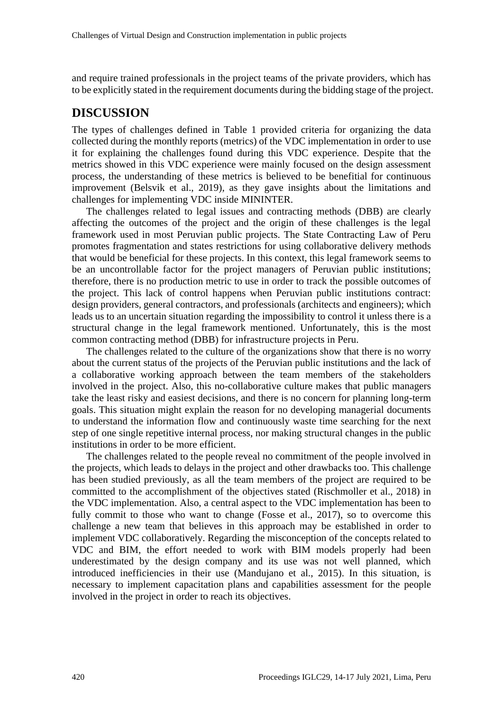and require trained professionals in the project teams of the private providers, which has to be explicitly stated in the requirement documents during the bidding stage of the project.

### **DISCUSSION**

The types of challenges defined in Table 1 provided criteria for organizing the data collected during the monthly reports (metrics) of the VDC implementation in order to use it for explaining the challenges found during this VDC experience. Despite that the metrics showed in this VDC experience were mainly focused on the design assessment process, the understanding of these metrics is believed to be benefitial for continuous improvement (Belsvik et al., 2019), as they gave insights about the limitations and challenges for implementing VDC inside MININTER.

The challenges related to legal issues and contracting methods (DBB) are clearly affecting the outcomes of the project and the origin of these challenges is the legal framework used in most Peruvian public projects. The State Contracting Law of Peru promotes fragmentation and states restrictions for using collaborative delivery methods that would be beneficial for these projects. In this context, this legal framework seems to be an uncontrollable factor for the project managers of Peruvian public institutions; therefore, there is no production metric to use in order to track the possible outcomes of the project. This lack of control happens when Peruvian public institutions contract: design providers, general contractors, and professionals (architects and engineers); which leads us to an uncertain situation regarding the impossibility to control it unless there is a structural change in the legal framework mentioned. Unfortunately, this is the most common contracting method (DBB) for infrastructure projects in Peru.

The challenges related to the culture of the organizations show that there is no worry about the current status of the projects of the Peruvian public institutions and the lack of a collaborative working approach between the team members of the stakeholders involved in the project. Also, this no-collaborative culture makes that public managers take the least risky and easiest decisions, and there is no concern for planning long-term goals. This situation might explain the reason for no developing managerial documents to understand the information flow and continuously waste time searching for the next step of one single repetitive internal process, nor making structural changes in the public institutions in order to be more efficient.

The challenges related to the people reveal no commitment of the people involved in the projects, which leads to delays in the project and other drawbacks too. This challenge has been studied previously, as all the team members of the project are required to be committed to the accomplishment of the objectives stated (Rischmoller et al., 2018) in the VDC implementation. Also, a central aspect to the VDC implementation has been to fully commit to those who want to change (Fosse et al., 2017), so to overcome this challenge a new team that believes in this approach may be established in order to implement VDC collaboratively. Regarding the misconception of the concepts related to VDC and BIM, the effort needed to work with BIM models properly had been underestimated by the design company and its use was not well planned, which introduced inefficiencies in their use (Mandujano et al., 2015). In this situation, is necessary to implement capacitation plans and capabilities assessment for the people involved in the project in order to reach its objectives.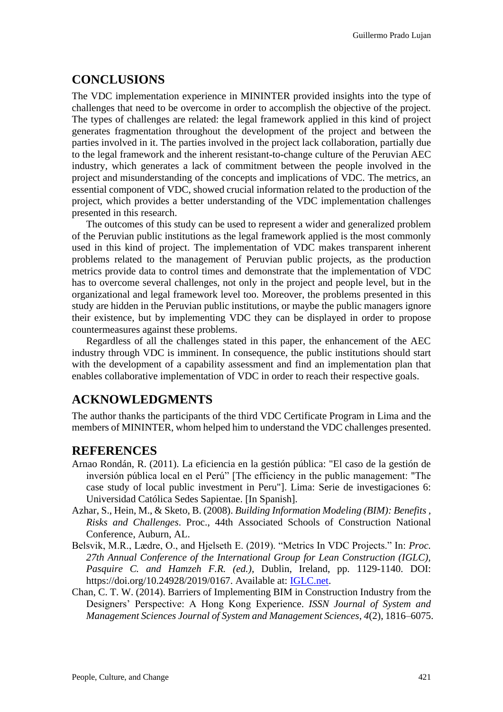# **CONCLUSIONS**

The VDC implementation experience in MININTER provided insights into the type of challenges that need to be overcome in order to accomplish the objective of the project. The types of challenges are related: the legal framework applied in this kind of project generates fragmentation throughout the development of the project and between the parties involved in it. The parties involved in the project lack collaboration, partially due to the legal framework and the inherent resistant-to-change culture of the Peruvian AEC industry, which generates a lack of commitment between the people involved in the project and misunderstanding of the concepts and implications of VDC. The metrics, an essential component of VDC, showed crucial information related to the production of the project, which provides a better understanding of the VDC implementation challenges presented in this research.

The outcomes of this study can be used to represent a wider and generalized problem of the Peruvian public institutions as the legal framework applied is the most commonly used in this kind of project. The implementation of VDC makes transparent inherent problems related to the management of Peruvian public projects, as the production metrics provide data to control times and demonstrate that the implementation of VDC has to overcome several challenges, not only in the project and people level, but in the organizational and legal framework level too. Moreover, the problems presented in this study are hidden in the Peruvian public institutions, or maybe the public managers ignore their existence, but by implementing VDC they can be displayed in order to propose countermeasures against these problems.

Regardless of all the challenges stated in this paper, the enhancement of the AEC industry through VDC is imminent. In consequence, the public institutions should start with the development of a capability assessment and find an implementation plan that enables collaborative implementation of VDC in order to reach their respective goals.

# **ACKNOWLEDGMENTS**

The author thanks the participants of the third VDC Certificate Program in Lima and the members of MININTER, whom helped him to understand the VDC challenges presented.

### **REFERENCES**

- Arnao Rondán, R. (2011). La eficiencia en la gestión pública: "El caso de la gestión de inversión pública local en el Perú" [The efficiency in the public management: "The case study of local public investment in Peru"]. Lima: Serie de investigaciones 6: Universidad Católica Sedes Sapientae. [In Spanish].
- Azhar, S., Hein, M., & Sketo, B. (2008). *Building Information Modeling (BIM): Benefits , Risks and Challenges*. Proc., 44th Associated Schools of Construction National Conference, Auburn, AL.
- Belsvik, M.R., Lædre, O., and Hjelseth E. (2019). "Metrics In VDC Projects." In: *Proc. 27th Annual Conference of the International Group for Lean Construction (IGLC), Pasquire C. and Hamzeh F.R. (ed.)*, Dublin, Ireland, pp. 1129-1140. DOI: https://doi.org/10.24928/2019/0167. Available at: [IGLC.net.](https://www.iglc.net/)
- Chan, C. T. W. (2014). Barriers of Implementing BIM in Construction Industry from the Designers' Perspective: A Hong Kong Experience. *ISSN Journal of System and Management Sciences Journal of System and Management Sciences*, *4*(2), 1816–6075.